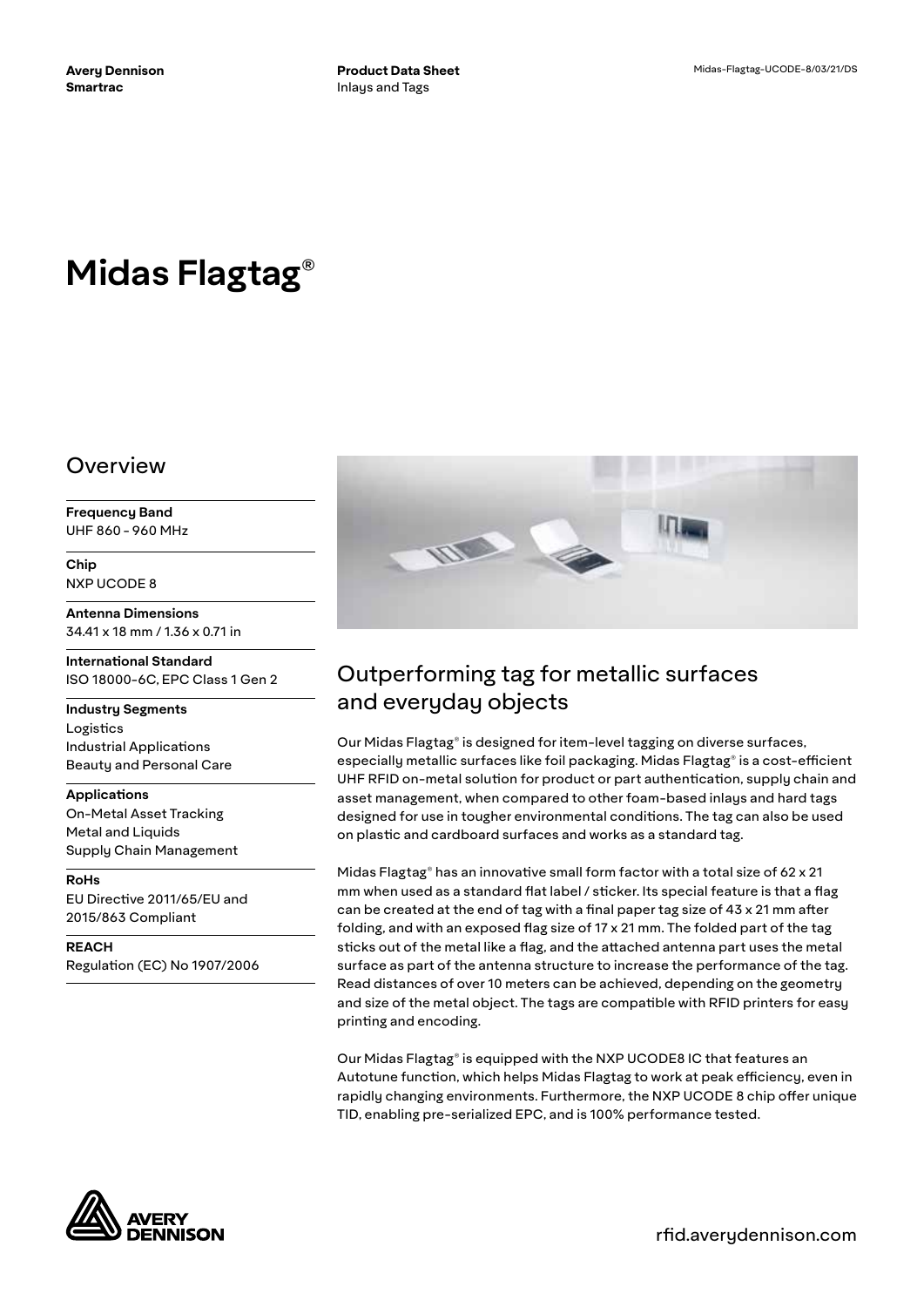# **Midas Flagtag®**

#### Overview

**Frequency Band** UHF 860 - 960 MHz

**Chip** NXP UCODE 8

**Antenna Dimensions** 34.41 x 18 mm / 1.36 x 0.71 in

**International Standard** ISO 18000-6C, EPC Class 1 Gen 2

**Industry Segments** Logistics Industrial Applications Beauty and Personal Care

**Applications** On-Metal Asset Tracking Metal and Liquids Supply Chain Management

**RoHs** EU Directive 2011/65/EU and 2015/863 Compliant

**REACH** Regulation (EC) No 1907/2006



## Outperforming tag for metallic surfaces and everyday objects

Our Midas Flagtag® is designed for item-level tagging on diverse surfaces, especially metallic surfaces like foil packaging. Midas Flagtag® is a cost-efficient UHF RFID on-metal solution for product or part authentication, supply chain and asset management, when compared to other foam-based inlays and hard tags designed for use in tougher environmental conditions. The tag can also be used on plastic and cardboard surfaces and works as a standard tag.

Midas Flagtag® has an innovative small form factor with a total size of 62 x 21 mm when used as a standard flat label / sticker. Its special feature is that a flag can be created at the end of tag with a final paper tag size of 43 x 21 mm after folding, and with an exposed flag size of 17 x 21 mm. The folded part of the tag sticks out of the metal like a flag, and the attached antenna part uses the metal surface as part of the antenna structure to increase the performance of the tag. Read distances of over 10 meters can be achieved, depending on the geometry and size of the metal object. The tags are compatible with RFID printers for easy printing and encoding.

Our Midas Flagtag® is equipped with the NXP UCODE8 IC that features an Autotune function, which helps Midas Flagtag to work at peak efficiency, even in rapidly changing environments. Furthermore, the NXP UCODE 8 chip offer unique TID, enabling pre-serialized EPC, and is 100% performance tested.